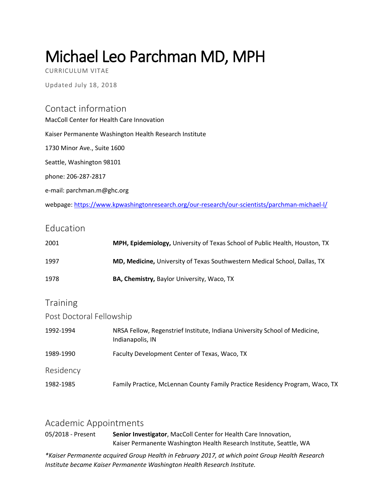# Michael Leo Parchman MD, MPH

CURRICULUM VITAE

Updated July 18, 2018

# Contact information

MacColl Center for Health Care Innovation Kaiser Permanente Washington Health Research Institute 1730 Minor Ave., Suite 1600 Seattle, Washington 98101 phone: 206-287-2817 e-mail: parchman.m@ghc.org webpage: <https://www.kpwashingtonresearch.org/our-research/our-scientists/parchman-michael-l/>

## Education

| 2001                     | MPH, Epidemiology, University of Texas School of Public Health, Houston, TX                    |  |  |
|--------------------------|------------------------------------------------------------------------------------------------|--|--|
| 1997                     | MD, Medicine, University of Texas Southwestern Medical School, Dallas, TX                      |  |  |
| 1978                     | BA, Chemistry, Baylor University, Waco, TX                                                     |  |  |
| Training                 |                                                                                                |  |  |
| Post Doctoral Fellowship |                                                                                                |  |  |
| 1992-1994                | NRSA Fellow, Regenstrief Institute, Indiana University School of Medicine,<br>Indianapolis, IN |  |  |
| 1989-1990                | Faculty Development Center of Texas, Waco, TX                                                  |  |  |
| Residency                |                                                                                                |  |  |

1982-1985 Family Practice, McLennan County Family Practice Residency Program, Waco, TX

## Academic Appointments

05/2018 - Present **Senior Investigator**, MacColl Center for Health Care Innovation, Kaiser Permanente Washington Health Research Institute, Seattle, WA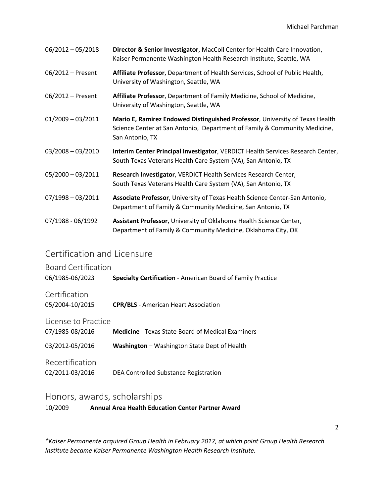| $06/2012 - 05/2018$ | Director & Senior Investigator, MacColl Center for Health Care Innovation,<br>Kaiser Permanente Washington Health Research Institute, Seattle, WA                            |
|---------------------|------------------------------------------------------------------------------------------------------------------------------------------------------------------------------|
| 06/2012 - Present   | Affiliate Professor, Department of Health Services, School of Public Health,<br>University of Washington, Seattle, WA                                                        |
| 06/2012 - Present   | Affiliate Professor, Department of Family Medicine, School of Medicine,<br>University of Washington, Seattle, WA                                                             |
| $01/2009 - 03/2011$ | Mario E, Ramirez Endowed Distinguished Professor, University of Texas Health<br>Science Center at San Antonio, Department of Family & Community Medicine,<br>San Antonio, TX |
| $03/2008 - 03/2010$ | Interim Center Principal Investigator, VERDICT Health Services Research Center,<br>South Texas Veterans Health Care System (VA), San Antonio, TX                             |
| $05/2000 - 03/2011$ | Research Investigator, VERDICT Health Services Research Center,<br>South Texas Veterans Health Care System (VA), San Antonio, TX                                             |
| $07/1998 - 03/2011$ | Associate Professor, University of Texas Health Science Center-San Antonio,<br>Department of Family & Community Medicine, San Antonio, TX                                    |
| 07/1988 - 06/1992   | Assistant Professor, University of Oklahoma Health Science Center,<br>Department of Family & Community Medicine, Oklahoma City, OK                                           |

# Certification and Licensure

| <b>Board Certification</b><br>06/1985-06/2023 | <b>Specialty Certification - American Board of Family Practice</b> |
|-----------------------------------------------|--------------------------------------------------------------------|
| Certification<br>05/2004-10/2015              | <b>CPR/BLS</b> - American Heart Association                        |
| License to Practice<br>07/1985-08/2016        | <b>Medicine</b> - Texas State Board of Medical Examiners           |
| 03/2012-05/2016                               | Washington - Washington State Dept of Health                       |
| Recertification<br>02/2011-03/2016            | DEA Controlled Substance Registration                              |

# Honors, awards, scholarships

10/2009 **Annual Area Health Education Center Partner Award**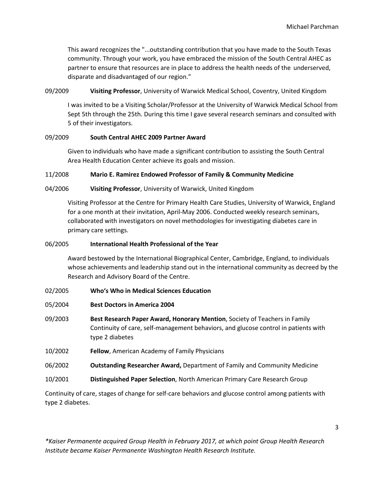This award recognizes the "...outstanding contribution that you have made to the South Texas community. Through your work, you have embraced the mission of the South Central AHEC as partner to ensure that resources are in place to address the health needs of the underserved, disparate and disadvantaged of our region."

09/2009 **Visiting Professor**, University of Warwick Medical School, Coventry, United Kingdom

I was invited to be a Visiting Scholar/Professor at the University of Warwick Medical School from Sept 5th through the 25th. During this time I gave several research seminars and consulted with 5 of their investigators.

#### 09/2009 **South Central AHEC 2009 Partner Award**

Given to individuals who have made a significant contribution to assisting the South Central Area Health Education Center achieve its goals and mission.

#### 11/2008 **Mario E. Ramirez Endowed Professor of Family & Community Medicine**

#### 04/2006 **Visiting Professor**, University of Warwick, United Kingdom

Visiting Professor at the Centre for Primary Health Care Studies, University of Warwick, England for a one month at their invitation, April-May 2006. Conducted weekly research seminars, collaborated with investigators on novel methodologies for investigating diabetes care in primary care settings.

#### 06/2005 **International Health Professional of the Year**

Award bestowed by the International Biographical Center, Cambridge, England, to individuals whose achievements and leadership stand out in the international community as decreed by the Research and Advisory Board of the Centre.

- 02/2005 **Who's Who in Medical Sciences Education**
- 05/2004 **Best Doctors in America 2004**
- 09/2003 **Best Research Paper Award, Honorary Mention**, Society of Teachers in Family Continuity of care, self-management behaviors, and glucose control in patients with type 2 diabetes
- 10/2002 **Fellow**, American Academy of Family Physicians
- 06/2002 **Outstanding Researcher Award,** Department of Family and Community Medicine
- 10/2001 **Distinguished Paper Selection**, North American Primary Care Research Group

Continuity of care, stages of change for self-care behaviors and glucose control among patients with type 2 diabetes.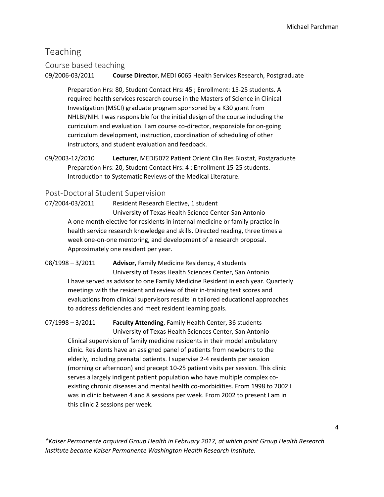# Teaching

## Course based teaching

09/2006-03/2011 **Course Director**, MEDI 6065 Health Services Research, Postgraduate

Preparation Hrs: 80, Student Contact Hrs: 45 ; Enrollment: 15-25 students. A required health services research course in the Masters of Science in Clinical Investigation (MSCI) graduate program sponsored by a K30 grant from NHLBI/NIH. I was responsible for the initial design of the course including the curriculum and evaluation. I am course co-director, responsible for on-going curriculum development, instruction, coordination of scheduling of other instructors, and student evaluation and feedback.

09/2003-12/2010 **Lecturer**, MEDI5072 Patient Orient Clin Res Biostat, Postgraduate Preparation Hrs: 20, Student Contact Hrs: 4 ; Enrollment 15-25 students. Introduction to Systematic Reviews of the Medical Literature.

## Post-Doctoral Student Supervision

07/2004-03/2011 Resident Research Elective, 1 student University of Texas Health Science Center-San Antonio A one month elective for residents in internal medicine or family practice in health service research knowledge and skills. Directed reading, three times a week one-on-one mentoring, and development of a research proposal. Approximately one resident per year.

08/1998 – 3/2011 **Advisor,** Family Medicine Residency, 4 students University of Texas Health Sciences Center, San Antonio I have served as advisor to one Family Medicine Resident in each year. Quarterly meetings with the resident and review of their in-training test scores and evaluations from clinical supervisors results in tailored educational approaches to address deficiencies and meet resident learning goals.

07/1998 – 3/2011 **Faculty Attending**, Family Health Center, 36 students

University of Texas Health Sciences Center, San Antonio Clinical supervision of family medicine residents in their model ambulatory clinic. Residents have an assigned panel of patients from newborns to the elderly, including prenatal patients. I supervise 2-4 residents per session (morning or afternoon) and precept 10-25 patient visits per session. This clinic serves a largely indigent patient population who have multiple complex coexisting chronic diseases and mental health co-morbidities. From 1998 to 2002 I was in clinic between 4 and 8 sessions per week. From 2002 to present I am in this clinic 2 sessions per week.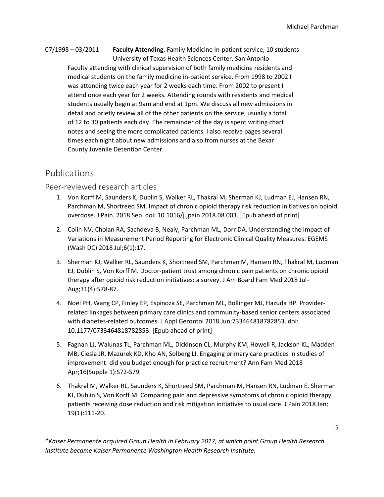## 07/1998 – 03/2011 **Faculty Attending**, Family Medicine In-patient service, 10 students University of Texas Health Sciences Center, San Antonio Faculty attending with clinical supervision of both family medicine residents and medical students on the family medicine in-patient service. From 1998 to 2002 I was attending twice each year for 2 weeks each time. From 2002 to present I attend once each year for 2 weeks. Attending rounds with residents and medical students usually begin at 9am and end at 1pm. We discuss all new admissions in detail and briefly review all of the other patients on the service, usually a total of 12 to 30 patients each day. The remainder of the day is spent writing chart notes and seeing the more complicated patients. I also receive pages several times each night about new admissions and also from nurses at the Bexar County Juvenile Detention Center.

# Publications

## Peer-reviewed research articles

- 1. Von Korff M, Saunders K, Dublin S, Walker RL, Thakral M, Sherman KJ, Ludman EJ, Hansen RN, Parchman M, Shortreed SM. Impact of chronic opioid therapy risk reduction initiatives on opioid overdose. J Pain. 2018 Sep. doi: 10.1016/j.jpain.2018.08.003. [Epub ahead of print]
- 2. Colin NV, Cholan RA, Sachdeva B, Nealy, Parchman ML, Dorr DA. Understanding the Impact of Variations in Measurement Period Reporting for Electronic Clinical Quality Measures. EGEMS (Wash DC) 2018 Jul;6(1):17.
- 3. Sherman KJ, Walker RL, Saunders K, Shortreed SM, Parchman M, Hansen RN, Thakral M, Ludman EJ, Dublin S, Von Korff M. Doctor-patient trust among chronic pain patients on chronic opioid therapy after opioid risk reduction initiatives: a survey. J Am Board Fam Med 2018 Jul-Aug;31(4):578-87.
- 4. Noël PH, Wang CP, Finley EP, Espinoza SE, Parchman ML, Bollinger MJ, Hazuda HP. Providerrelated linkages between primary care clinics and community-based senior centers associated with diabetes-related outcomes. J Appl Gerontol 2018 Jun;733464818782853. doi: 10.1177/0733464818782853. [Epub ahead of print]
- 5. Fagnan LJ, Walunas TL, Parchman ML, Dickinson CL, Murphy KM, Howell R, Jackson KL, Madden MB, Ciesla JR, Mazurek KD, Kho AN, Solberg LI. Engaging primary care practices in studies of improvement: did you budget enough for practice recruitment? Ann Fam Med 2018 Apr;16(Supple 1):S72-S79.
- 6. Thakral M, Walker RL, Saunders K, Shortreed SM, Parchman M, Hansen RN, Ludman E, Sherman KJ, Dublin S, Von Korff M. Comparing pain and depressive symptoms of chronic opioid therapy patients receiving dose reduction and risk mitigation initiatives to usual care. J Pain 2018 Jan; 19(1):111-20.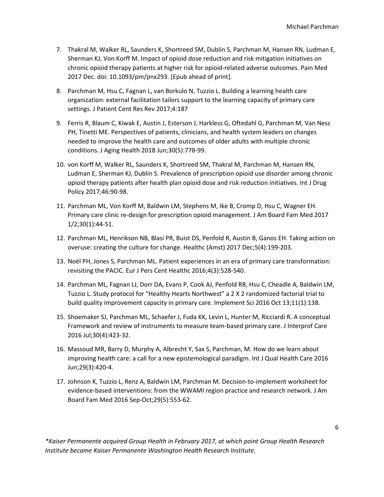- 7. Thakral M, Walker RL, Saunders K, Shortreed SM, Dublin S, Parchman M, Hansen RN, Ludman E, Sherman KJ, Von Korff M. Impact of opioid dose reduction and risk mitigation initiatives on chronic opioid therapy patients at higher risk for opioid-related adverse outcomes. Pain Med 2017 Dec. doi: 10.1093/pm/pnx293. [Epub ahead of print].
- 8. Parchman M, Hsu C, Fagnan L, van Borkulo N, Tuzzio L. Building a learning health care organization: external facilitation tailors support to the learning capacity of primary care settings. J Patient Cent Res Rev 2017;4:187
- 9. Ferris R, Blaum C, Kiwak E, Austin J, Esterson J, Harkless G, Oftedahl G, Parchman M, Van Ness PH, Tinetti ME. Perspectives of patients, clinicians, and health system leaders on changes needed to improve the health care and outcomes of older adults with multiple chronic conditions. J Aging Health 2018 Jun;30(5):778-99.
- 10. von Korff M, Walker RL, Saunders K, Shortreed SM, Thakral M, Parchman M, Hansen RN, Ludman E, Sherman KJ, Dublin S. Prevalence of prescription opioid use disorder among chronic opioid therapy patients after health plan opioid dose and risk reduction initiatives. Int J Drug Policy 2017;46:90-98.
- 11. Parchman ML, Von Korff M, Baldwin LM, Stephens M, Ike B, Cromp D, Hsu C, Wagner EH. Primary care clinic re-design for prescription opioid management. J Am Board Fam Med 2017 1/2;30(1):44-51.
- 12. Parchman ML, Henrikson NB, Blasi PR, Buist DS, Penfold R, Austin B, Ganos EH. Taking action on overuse: creating the culture for change. Healthc (Amst) 2017 Dec;5(4):199-203.
- 13. Noël PH, Jones S, Parchman ML. Patient experiences in an era of primary care transformation: revisiting the PACIC. Eur J Pers Cent Healthc 2016;4(3):528-540.
- 14. Parchman ML, Fagnan LJ, Dorr DA, Evans P, Cook AJ, Penfold RB, Hsu C, Cheadle A, Baldwin LM, Tuzzio L. Study protocol for "Healthy Hearts Northwest" a 2 X 2 randomized factorial trial to build quality improvement capacity in primary care. Implement Sci 2016 Oct 13;11(1):138.
- 15. Shoemaker SJ, Parchman ML, Schaefer J, Fuda KK, Levin L, Hunter M, Ricciardi R. A conceptual Framework and review of instruments to measure team-based primary care. J Interprof Care 2016 Jul;30(4):423-32.
- 16. Massoud MR, Barry D, Murphy A, Albrecht Y, Sax S, Parchman, M. How do we learn about improving health care: a call for a new epistemological paradigm. Int J Qual Health Care 2016 Jun;29(3):420-4.
- 17. Johnson K, Tuzzio L, Renz A, Baldwin LM, Parchman M. Decision-to-implement worksheet for evidence-based interventions: from the WWAMI region practice and research network. J Am Board Fam Med 2016 Sep-Oct;29(5):553-62.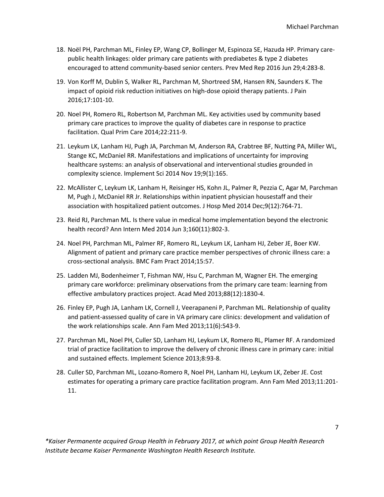- 18. Noël PH, Parchman ML, Finley EP, Wang CP, Bollinger M, Espinoza SE, Hazuda HP. Primary carepublic health linkages: older primary care patients with prediabetes & type 2 diabetes encouraged to attend community-based senior centers. Prev Med Rep 2016 Jun 29;4:283-8.
- 19. Von Korff M, Dublin S, Walker RL, Parchman M, Shortreed SM, Hansen RN, Saunders K. The impact of opioid risk reduction initiatives on high-dose opioid therapy patients. J Pain 2016;17:101-10.
- 20. Noel PH, Romero RL, Robertson M, Parchman ML. Key activities used by community based primary care practices to improve the quality of diabetes care in response to practice facilitation. Qual Prim Care 2014;22:211-9.
- 21. Leykum LK, Lanham HJ, Pugh JA, Parchman M, Anderson RA, Crabtree BF, Nutting PA, Miller WL, Stange KC, McDaniel RR. Manifestations and implications of uncertainty for improving healthcare systems: an analysis of observational and interventional studies grounded in complexity science. Implement Sci 2014 Nov 19;9(1):165.
- 22. McAllister C, Leykum LK, Lanham H, Reisinger HS, Kohn JL, Palmer R, Pezzia C, Agar M, Parchman M, Pugh J, McDaniel RR Jr. Relationships within inpatient physician housestaff and their association with hospitalized patient outcomes. J Hosp Med 2014 Dec;9(12):764-71.
- 23. Reid RJ, Parchman ML. Is there value in medical home implementation beyond the electronic health record? Ann Intern Med 2014 Jun 3;160(11):802-3.
- 24. Noel PH, Parchman ML, Palmer RF, Romero RL, Leykum LK, Lanham HJ, Zeber JE, Boer KW. Alignment of patient and primary care practice member perspectives of chronic illness care: a cross-sectional analysis. BMC Fam Pract 2014;15:57.
- 25. Ladden MJ, Bodenheimer T, Fishman NW, Hsu C, Parchman M, Wagner EH. The emerging primary care workforce: preliminary observations from the primary care team: learning from effective ambulatory practices project. Acad Med 2013;88(12):1830-4.
- 26. Finley EP, Pugh JA, Lanham LK, Cornell J, Veerapaneni P, Parchman ML. Relationship of quality and patient-assessed quality of care in VA primary care clinics: development and validation of the work relationships scale. Ann Fam Med 2013;11(6):543-9.
- 27. Parchman ML, Noel PH, Culler SD, Lanham HJ, Leykum LK, Romero RL, Plamer RF. A randomized trial of practice facilitation to improve the delivery of chronic illness care in primary care: initial and sustained effects. Implement Science 2013;8:93-8.
- 28. Culler SD, Parchman ML, Lozano-Romero R, Noel PH, Lanham HJ, Leykum LK, Zeber JE. Cost estimates for operating a primary care practice facilitation program. Ann Fam Med 2013;11:201- 11.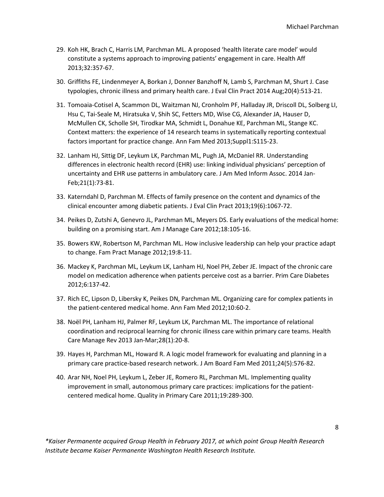- 29. Koh HK, Brach C, Harris LM, Parchman ML. A proposed 'health literate care model' would constitute a systems approach to improving patients' engagement in care. Health Aff 2013;32:357-67.
- 30. Griffiths FE, Lindenmeyer A, Borkan J, Donner Banzhoff N, Lamb S, Parchman M, Shurt J. Case typologies, chronic illness and primary health care. J Eval Clin Pract 2014 Aug;20(4):513-21.
- 31. Tomoaia-Cotisel A, Scammon DL, Waitzman NJ, Cronholm PF, Halladay JR, Driscoll DL, Solberg LI, Hsu C, Tai-Seale M, Hiratsuka V, Shih SC, Fetters MD, Wise CG, Alexander JA, Hauser D, McMullen CK, Scholle SH, Tirodkar MA, Schmidt L, Donahue KE, Parchman ML, Stange KC. Context matters: the experience of 14 research teams in systematically reporting contextual factors important for practice change. Ann Fam Med 2013;Suppl1:S115-23.
- 32. Lanham HJ, Sittig DF, Leykum LK, Parchman ML, Pugh JA, McDaniel RR. Understanding differences in electronic health record (EHR) use: linking individual physicians' perception of uncertainty and EHR use patterns in ambulatory care. J Am Med Inform Assoc. 2014 Jan-Feb;21(1):73-81.
- 33. Katerndahl D, Parchman M. Effects of family presence on the content and dynamics of the clinical encounter among diabetic patients. J Eval Clin Pract 2013;19(6):1067-72.
- 34. Peikes D, Zutshi A, Genevro JL, Parchman ML, Meyers DS. Early evaluations of the medical home: building on a promising start. Am J Manage Care 2012;18:105-16.
- 35. Bowers KW, Robertson M, Parchman ML. How inclusive leadership can help your practice adapt to change. Fam Pract Manage 2012;19:8-11.
- 36. Mackey K, Parchman ML, Leykum LK, Lanham HJ, Noel PH, Zeber JE. Impact of the chronic care model on medication adherence when patients perceive cost as a barrier. Prim Care Diabetes 2012;6:137-42.
- 37. Rich EC, Lipson D, Libersky K, Peikes DN, Parchman ML. Organizing care for complex patients in the patient-centered medical home. Ann Fam Med 2012;10:60-2.
- 38. Noël PH, Lanham HJ, Palmer RF, Leykum LK, Parchman ML. The importance of relational coordination and reciprocal learning for chronic illness care within primary care teams. Health Care Manage Rev 2013 Jan-Mar;28(1):20-8.
- 39. Hayes H, Parchman ML, Howard R. A logic model framework for evaluating and planning in a primary care practice-based research network. J Am Board Fam Med 2011;24(5):576-82.
- 40. Arar NH, Noel PH, Leykum L, Zeber JE, Romero RL, Parchman ML. Implementing quality improvement in small, autonomous primary care practices: implications for the patientcentered medical home. Quality in Primary Care 2011;19:289-300.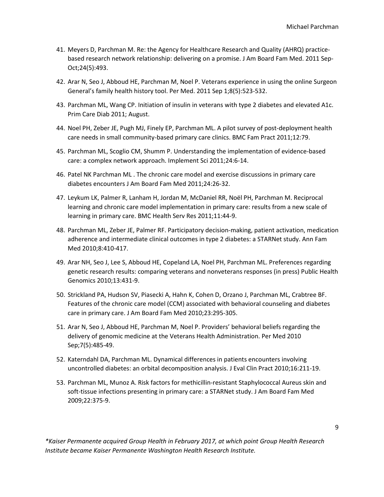- 41. Meyers D, Parchman M. Re: the Agency for Healthcare Research and Quality (AHRQ) practicebased research network relationship: delivering on a promise. J Am Board Fam Med. 2011 Sep-Oct;24(5):493.
- 42. Arar N, Seo J, Abboud HE, Parchman M, Noel P. Veterans experience in using the online Surgeon General's family health history tool. Per Med. 2011 Sep 1;8(5):523-532.
- 43. Parchman ML, Wang CP. Initiation of insulin in veterans with type 2 diabetes and elevated A1c. Prim Care Diab 2011; August.
- 44. Noel PH, Zeber JE, Pugh MJ, Finely EP, Parchman ML. A pilot survey of post-deployment health care needs in small community-based primary care clinics. BMC Fam Pract 2011;12:79.
- 45. Parchman ML, Scoglio CM, Shumm P. Understanding the implementation of evidence-based care: a complex network approach. Implement Sci 2011;24:6-14.
- 46. Patel NK Parchman ML . The chronic care model and exercise discussions in primary care diabetes encounters J Am Board Fam Med 2011;24:26-32.
- 47. Leykum LK, Palmer R, Lanham H, Jordan M, McDaniel RR, Noël PH, Parchman M. Reciprocal learning and chronic care model implementation in primary care: results from a new scale of learning in primary care. BMC Health Serv Res 2011;11:44-9.
- 48. Parchman ML, Zeber JE, Palmer RF. Participatory decision-making, patient activation, medication adherence and intermediate clinical outcomes in type 2 diabetes: a STARNet study. Ann Fam Med 2010;8:410-417.
- 49. Arar NH, Seo J, Lee S, Abboud HE, Copeland LA, Noel PH, Parchman ML. Preferences regarding genetic research results: comparing veterans and nonveterans responses (in press) Public Health Genomics 2010;13:431-9.
- 50. Strickland PA, Hudson SV, Piasecki A, Hahn K, Cohen D, Orzano J, Parchman ML, Crabtree BF. Features of the chronic care model (CCM) associated with behavioral counseling and diabetes care in primary care. J Am Board Fam Med 2010;23:295-305.
- 51. Arar N, Seo J, Abboud HE, Parchman M, Noel P. Providers' behavioral beliefs regarding the delivery of genomic medicine at the Veterans Health Administration. Per Med 2010 Sep;7(5):485-49.
- 52. Katerndahl DA, Parchman ML. Dynamical differences in patients encounters involving uncontrolled diabetes: an orbital decomposition analysis. J Eval Clin Pract 2010;16:211-19.
- 53. Parchman ML, Munoz A. Risk factors for methicillin-resistant Staphylococcal Aureus skin and soft-tissue infections presenting in primary care: a STARNet study. J Am Board Fam Med 2009;22:375-9.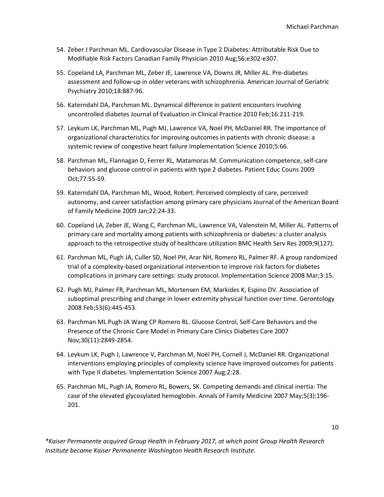- 54. Zeber J Parchman ML. Cardiovascular Disease in Type 2 Diabetes: Attributable Risk Due to Modifiable Risk Factors Canadian Family Physician 2010 Aug;56:e302-e307.
- 55. Copeland LA, Parchman ML, Zeber JE, Lawrence VA, Downs JR, Miller AL. Pre-diabetes assessment and follow-up in older veterans with schizophrenia. American Journal of Geriatric Psychiatry 2010;18:887-96.
- 56. Katerndahl DA, Parchman ML. Dynamical difference in patient encounters involving uncontrolled diabetes Journal of Evaluation in Clinical Practice 2010 Feb;16:211-219.
- 57. Leykum LK, Parchman ML, Pugh MJ, Lawrence VA, Noel PH, McDaniel RR. The importance of organizational characteristics for improving outcomes in patients with chronic disease: a systemic review of congestive heart failure Implementation Science 2010;5:66.
- 58. Parchman ML, Flannagan D, Ferrer RL, Matamoras M. Communication competence, self-care behaviors and glucose control in patients with type 2 diabetes. Patient Educ Couns 2009 Oct;77:55-59.
- 59. Katerndahl DA, Parchman ML, Wood, Robert. Perceived complexity of care, perceived autonomy, and career satisfaction among primary care physicians Journal of the American Board of Family Medicine 2009 Jan;22:24-33.
- 60. Copeland LA, Zeber JE, Wang C, Parchman ML, Lawrence VA, Valenstein M, Miller AL. Patterns of primary care and mortality among patients with schizophrenia or diabetes: a cluster analysis approach to the retrospective study of healthcare utilization BMC Health Serv Res 2009;9(127).
- 61. Parchman ML, Pugh JA, Culler SD, Noel PH, Arar NH, Romero RL, Palmer RF. A group randomized trial of a complexity-based organizational intervention to improve risk factors for diabetes complications in primary care settings: study protocol. Implementation Science 2008 Mar;3:15.
- 62. Pugh MJ, Palmer FR, Parchman ML, Mortensen EM, Markides K, Espino DV. Association of suboptimal prescribing and change in lower extremity physical function over time. Gerontology 2008 Feb;53(6):445-453.
- 63. Parchman ML Pugh JA Wang CP Romero RL. Glucose Control, Self-Care Behaviors and the Presence of the Chronic Care Model in Primary Care Clinics Diabetes Care 2007 Nov;30(11):2849-2854.
- 64. Leykum LK, Pugh J, Lawrence V, Parchman M, Noël PH, Cornell J, McDaniel RR. Organizational interventions employing principles of complexity science have improved outcomes for patients with Type II diabetes. Implementation Science 2007 Aug;2:28.
- 65. Parchman ML, Pugh JA, Romero RL, Bowers, SK. Competing demands and clinical inertia: The case of the elevated glycosylated hemoglobin. Annals of Family Medicine 2007 May;5(3):196- 201.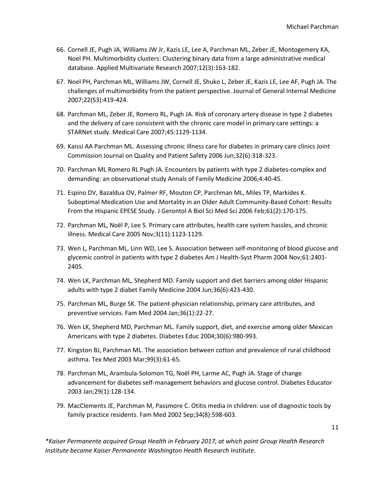- 66. Cornell JE, Pugh JA, Williams JW Jr, Kazis LE, Lee A, Parchman ML, Zeber JE, Montogemery KA, Noel PH. Multimorbidity clusters: Clustering binary data from a large administrative medical database. Applied Multivariate Research 2007;12(3):163-182.
- 67. Noel PH, Parchman ML, Williams JW, Cornell JE, Shuko L, Zeber JE, Kazis LE, Lee AF, Pugh JA. The challenges of multimorbidity from the patient perspective. Journal of General Internal Medicine 2007;22(S3):419-424.
- 68. Parchman ML, Zeber JE, Romero RL, Pugh JA. Risk of coronary artery disease in type 2 diabetes and the delivery of care consistent with the chronic care model in primary care settings: a STARNet study. Medical Care 2007;45:1129-1134.
- 69. Kaissi AA Parchman ML. Assessing chronic illness care for diabetes in primary care clinics Joint Commission Journal on Quality and Patient Safety 2006 Jun;32(6):318-323.
- 70. Parchman ML Romero RL Pugh JA. Encounters by patients with type 2 diabetes-complex and demanding: an observational study Annals of Family Medicine 2006;4:40-45.
- 71. Espino DV, Bazaldua OV, Palmer RF, Mouton CP, Parchman ML, Miles TP, Markides K. Suboptimal Medication Use and Mortality in an Older Adult Community-Based Cohort: Results From the Hispanic EPESE Study. J Gerontol A Biol Sci Med Sci 2006 Feb;61(2):170-175.
- 72. Parchman ML, Noël P, Lee S. Primary care attributes, health care system hassles, and chronic illness. Medical Care 2005 Nov;3(11):1123-1129.
- 73. Wen L, Parchman ML, Linn WD, Lee S. Association between self-monitoring of blood glucose and glycemic control in patients with type 2 diabetes Am J Health-Syst Pharm 2004 Nov;61:2401- 2405.
- 74. Wen LK, Parchman ML, Shepherd MD. Family support and diet barriers among older Hispanic adults with type 2 diabet Family Medicine 2004 Jun;36(6):423-430.
- 75. Parchman ML, Burge SK. The patient-physician relationship, primary care attributes, and preventive services. Fam Med 2004 Jan;36(1):22-27.
- 76. Wen LK, Shepherd MD, Parchman ML. Family support, diet, and exercise among older Mexican Americans with type 2 diabetes. Diabetes Educ 2004;30(6):980-993.
- 77. Kingston BJ, Parchman ML. The association between cotton and prevalence of rural childhood asthma. Tex Med 2003 Mar;99(3):61-65.
- 78. Parchman ML, Arambula-Solomon TG, Noël PH, Larme AC, Pugh JA. Stage of change advancement for diabetes self-management behaviors and glucose control. Diabetes Educator 2003 Jan;29(1):128-134.
- 79. MacClements JE, Parchman M, Passmore C. Otitis media in children: use of diagnostic tools by family practice residents. Fam Med 2002 Sep;34(8):598-603.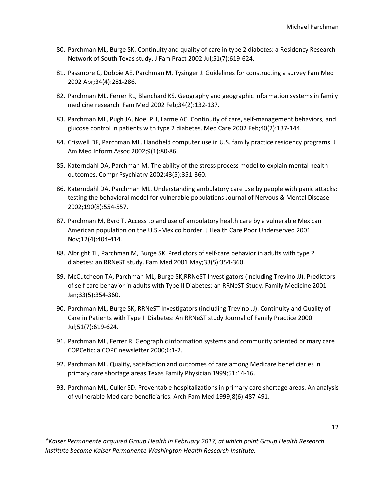- 80. Parchman ML, Burge SK. Continuity and quality of care in type 2 diabetes: a Residency Research Network of South Texas study. J Fam Pract 2002 Jul;51(7):619-624.
- 81. Passmore C, Dobbie AE, Parchman M, Tysinger J. Guidelines for constructing a survey Fam Med 2002 Apr;34(4):281-286.
- 82. Parchman ML, Ferrer RL, Blanchard KS. Geography and geographic information systems in family medicine research. Fam Med 2002 Feb;34(2):132-137.
- 83. Parchman ML, Pugh JA, Noël PH, Larme AC. Continuity of care, self-management behaviors, and glucose control in patients with type 2 diabetes. Med Care 2002 Feb;40(2):137-144.
- 84. Criswell DF, Parchman ML. Handheld computer use in U.S. family practice residency programs. J Am Med Inform Assoc 2002;9(1):80-86.
- 85. Katerndahl DA, Parchman M. The ability of the stress process model to explain mental health outcomes. Compr Psychiatry 2002;43(5):351-360.
- 86. Katerndahl DA, Parchman ML. Understanding ambulatory care use by people with panic attacks: testing the behavioral model for vulnerable populations Journal of Nervous & Mental Disease 2002;190(8):554-557.
- 87. Parchman M, Byrd T. Access to and use of ambulatory health care by a vulnerable Mexican American population on the U.S.-Mexico border. J Health Care Poor Underserved 2001 Nov;12(4):404-414.
- 88. Albright TL, Parchman M, Burge SK. Predictors of self-care behavior in adults with type 2 diabetes: an RRNeST study. Fam Med 2001 May;33(5):354-360.
- 89. McCutcheon TA, Parchman ML, Burge SK,RRNeST Investigators (including Trevino JJ). Predictors of self care behavior in adults with Type II Diabetes: an RRNeST Study. Family Medicine 2001 Jan;33(5):354-360.
- 90. Parchman ML, Burge SK, RRNeST Investigators (including Trevino JJ). Continuity and Quality of Care in Patients with Type II Diabetes: An RRNeST study Journal of Family Practice 2000 Jul;51(7):619-624.
- 91. Parchman ML, Ferrer R. Geographic information systems and community oriented primary care COPCetic: a COPC newsletter 2000;6:1-2.
- 92. Parchman ML. Quality, satisfaction and outcomes of care among Medicare beneficiaries in primary care shortage areas Texas Family Physician 1999;51:14-16.
- 93. Parchman ML, Culler SD. Preventable hospitalizations in primary care shortage areas. An analysis of vulnerable Medicare beneficiaries. Arch Fam Med 1999;8(6):487-491.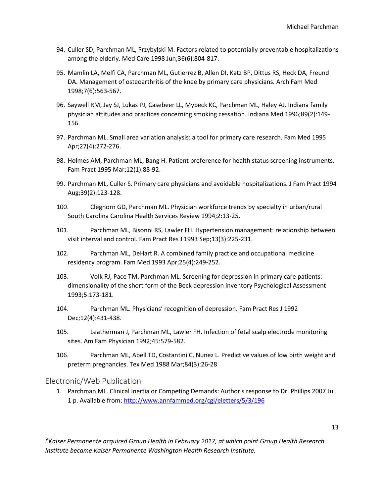- 94. Culler SD, Parchman ML, Przybylski M. Factors related to potentially preventable hospitalizations among the elderly. Med Care 1998 Jun;36(6):804-817.
- 95. Mamlin LA, Melfi CA, Parchman ML, Gutierrez B, Allen DI, Katz BP, Dittus RS, Heck DA, Freund DA. Management of osteoarthritis of the knee by primary care physicians. Arch Fam Med 1998;7(6):563-567.
- 96. Saywell RM, Jay SJ, Lukas PJ, Casebeer LL, Mybeck KC, Parchman ML, Haley AJ. Indiana family physician attitudes and practices concerning smoking cessation. Indiana Med 1996;89(2):149- 156.
- 97. Parchman ML. Small area variation analysis: a tool for primary care research. Fam Med 1995 Apr;27(4):272-276.
- 98. Holmes AM, Parchman ML, Bang H. Patient preference for health status screening instruments. Fam Pract 1995 Mar;12(1):88-92.
- 99. Parchman ML, Culler S. Primary care physicians and avoidable hospitalizations. J Fam Pract 1994 Aug;39(2):123-128.
- 100. Cleghorn GD, Parchman ML. Physician workforce trends by specialty in urban/rural South Carolina Carolina Health Services Review 1994;2:13-25.
- 101. Parchman ML, Bisonni RS, Lawler FH. Hypertension management: relationship between visit interval and control. Fam Pract Res J 1993 Sep;13(3):225-231.
- 102. Parchman ML, DeHart R. A combined family practice and occupational medicine residency program. Fam Med 1993 Apr;25(4):249-252.
- 103. Volk RJ, Pace TM, Parchman ML. Screening for depression in primary care patients: dimensionality of the short form of the Beck depression inventory Psychological Assessment 1993;5:173-181.
- 104. Parchman ML. Physicians' recognition of depression. Fam Pract Res J 1992 Dec;12(4):431-438.
- 105. Leatherman J, Parchman ML, Lawler FH. Infection of fetal scalp electrode monitoring sites. Am Fam Physician 1992;45:579-582.
- 106. Parchman ML, Abell TD, Costantini C, Nunez L. Predictive values of low birth weight and preterm pregnancies. Tex Med 1988 Mar;84(3):26-28

#### Electronic/Web Publication

1. Parchman ML. Clinical Inertia or Competing Demands: Author's response to Dr. Phillips 2007 Jul. 1 p. Available from[: http://www.annfammed.org/cgi/eletters/5/3/196](http://www.annfammed.org/cgi/eletters/5/3/196)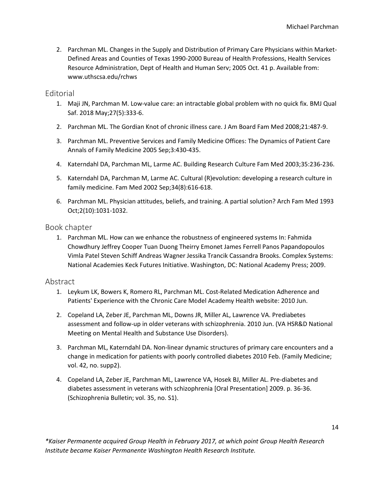2. Parchman ML. Changes in the Supply and Distribution of Primary Care Physicians within Market-Defined Areas and Counties of Texas 1990-2000 Bureau of Health Professions, Health Services Resource Administration, Dept of Health and Human Serv; 2005 Oct. 41 p. Available from: www.uthscsa.edu/rchws

#### **Editorial**

- 1. Maji JN, Parchman M. Low-value care: an intractable global problem with no quick fix. BMJ Qual Saf. 2018 May;27(5):333-6.
- 2. Parchman ML. The Gordian Knot of chronic illness care. J Am Board Fam Med 2008;21:487-9.
- 3. Parchman ML. Preventive Services and Family Medicine Offices: The Dynamics of Patient Care Annals of Family Medicine 2005 Sep;3:430-435.
- 4. Katerndahl DA, Parchman ML, Larme AC. Building Research Culture Fam Med 2003;35:236-236.
- 5. Katerndahl DA, Parchman M, Larme AC. Cultural (R)evolution: developing a research culture in family medicine. Fam Med 2002 Sep;34(8):616-618.
- 6. Parchman ML. Physician attitudes, beliefs, and training. A partial solution? Arch Fam Med 1993 Oct;2(10):1031-1032.

#### Book chapter

1. Parchman ML. How can we enhance the robustness of engineered systems In: Fahmida Chowdhury Jeffrey Cooper Tuan Duong Theirry Emonet James Ferrell Panos Papandopoulos Vimla Patel Steven Schiff Andreas Wagner Jessika Trancik Cassandra Brooks. Complex Systems: National Academies Keck Futures Initiative. Washington, DC: National Academy Press; 2009.

#### Abstract

- 1. Leykum LK, Bowers K, Romero RL, Parchman ML. Cost-Related Medication Adherence and Patients' Experience with the Chronic Care Model Academy Health website: 2010 Jun.
- 2. Copeland LA, Zeber JE, Parchman ML, Downs JR, Miller AL, Lawrence VA. Prediabetes assessment and follow-up in older veterans with schizophrenia. 2010 Jun. (VA HSR&D National Meeting on Mental Health and Substance Use Disorders).
- 3. Parchman ML, Katerndahl DA. Non-linear dynamic structures of primary care encounters and a change in medication for patients with poorly controlled diabetes 2010 Feb. (Family Medicine; vol. 42, no. supp2).
- 4. Copeland LA, Zeber JE, Parchman ML, Lawrence VA, Hosek BJ, Miller AL. Pre-diabetes and diabetes assessment in veterans with schizophrenia [Oral Presentation] 2009. p. 36-36. (Schizophrenia Bulletin; vol. 35, no. S1).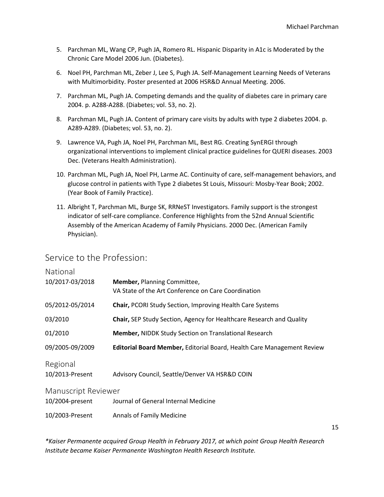- 5. Parchman ML, Wang CP, Pugh JA, Romero RL. Hispanic Disparity in A1c is Moderated by the Chronic Care Model 2006 Jun. (Diabetes).
- 6. Noel PH, Parchman ML, Zeber J, Lee S, Pugh JA. Self-Management Learning Needs of Veterans with Multimorbidity. Poster presented at 2006 HSR&D Annual Meeting. 2006.
- 7. Parchman ML, Pugh JA. Competing demands and the quality of diabetes care in primary care 2004. p. A288-A288. (Diabetes; vol. 53, no. 2).
- 8. Parchman ML, Pugh JA. Content of primary care visits by adults with type 2 diabetes 2004. p. A289-A289. (Diabetes; vol. 53, no. 2).
- 9. Lawrence VA, Pugh JA, Noel PH, Parchman ML, Best RG. Creating SynERGI through organizational interventions to implement clinical practice guidelines for QUERI diseases. 2003 Dec. (Veterans Health Administration).
- 10. Parchman ML, Pugh JA, Noel PH, Larme AC. Continuity of care, self-management behaviors, and glucose control in patients with Type 2 diabetes St Louis, Missouri: Mosby-Year Book; 2002. (Year Book of Family Practice).
- 11. Albright T, Parchman ML, Burge SK, RRNeST Investigators. Family support is the strongest indicator of self-care compliance. Conference Highlights from the 52nd Annual Scientific Assembly of the American Academy of Family Physicians. 2000 Dec. (American Family Physician).

## Service to the Profession:

| National                    |                                                                                           |  |
|-----------------------------|-------------------------------------------------------------------------------------------|--|
| 10/2017-03/2018             | <b>Member, Planning Committee,</b><br>VA State of the Art Conference on Care Coordination |  |
| 05/2012-05/2014             | <b>Chair, PCORI Study Section, Improving Health Care Systems</b>                          |  |
| 03/2010                     | <b>Chair, SEP Study Section, Agency for Healthcare Research and Quality</b>               |  |
| 01/2010                     | <b>Member, NIDDK Study Section on Translational Research</b>                              |  |
| 09/2005-09/2009             | Editorial Board Member, Editorial Board, Health Care Management Review                    |  |
| Regional<br>10/2013-Present | Advisory Council, Seattle/Denver VA HSR&D COIN                                            |  |
| <b>Manuscript Reviewer</b>  |                                                                                           |  |
| 10/2004-present             | Journal of General Internal Medicine                                                      |  |
| 10/2003-Present             | <b>Annals of Family Medicine</b>                                                          |  |